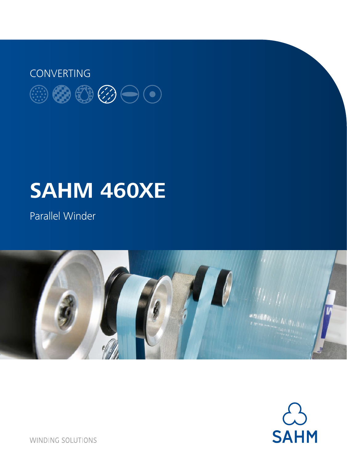

# **SAHM 460XE**

Parallel Winder





**WINDING SOLUTIONS**